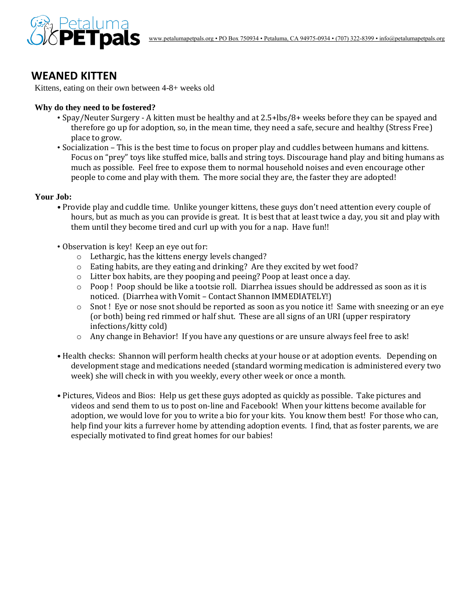

# **WEANED KITTEN**

Kittens, eating on their own between 4-8+ weeks old

#### **Why do they need to be fostered?**

- Spay/Neuter Surgery A kitten must be healthy and at 2.5+lbs/8+ weeks before they can be spayed and therefore go up for adoption, so, in the mean time, they need a safe, secure and healthy (Stress Free) place to grow.
- Socialization This is the best time to focus on proper play and cuddles between humans and kittens. Focus on "prey" toys like stuffed mice, balls and string toys. Discourage hand play and biting humans as much as possible. Feel free to expose them to normal household noises and even encourage other people to come and play with them. The more social they are, the faster they are adopted!

#### **Your Job:**

- Provide play and cuddle time. Unlike younger kittens, these guys don't need attention every couple of hours, but as much as you can provide is great. It is best that at least twice a day, you sit and play with them until they become tired and curl up with you for a nap. Have fun!!
- Observation is key! Keep an eye out for:
	- o Lethargic, has the kittens energy levels changed?
	- o Eating habits, are they eating and drinking? Are they excited by wet food?
	- o Litter box habits, are they pooping and peeing? Poop at least once a day.
	- o Poop ! Poop should be like a tootsie roll. Diarrhea issues should be addressed as soon as it is noticed. (Diarrhea with Vomit – Contact Shannon IMMEDIATELY!)
	- $\circ$  Snot! Eye or nose snot should be reported as soon as you notice it! Same with sneezing or an eye (or both) being red rimmed or half shut. These are all signs of an URI (upper respiratory infections/kitty cold)
	- $\circ$  Any change in Behavior! If you have any questions or are unsure always feel free to ask!
- Health checks: Shannon will perform health checks at your house or at adoption events. Depending on development stage and medications needed (standard worming medication is administered every two week) she will check in with you weekly, every other week or once a month.
- Pictures, Videos and Bios: Help us get these guys adopted as quickly as possible. Take pictures and videos and send them to us to post on-line and Facebook! When your kittens become available for adoption, we would love for you to write a bio for your kits. You know them best! For those who can, help find your kits a furrever home by attending adoption events. I find, that as foster parents, we are especially motivated to find great homes for our babies!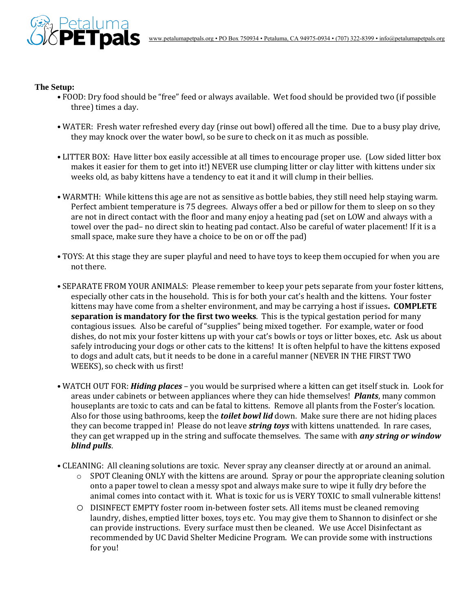

#### **The Setup:**

- FOOD: Dry food should be "free" feed or always available. Wet food should be provided two (if possible three) times a day.
- WATER: Fresh water refreshed every day (rinse out bowl) offered all the time. Due to a busy play drive, they may knock over the water bowl, so be sure to check on it as much as possible.
- LITTER BOX: Have litter box easily accessible at all times to encourage proper use. (Low sided litter box makes it easier for them to get into it!) NEVER use clumping litter or clay litter with kittens under six weeks old, as baby kittens have a tendency to eat it and it will clump in their bellies.
- WARMTH: While kittens this age are not as sensitive as bottle babies, they still need help staying warm. Perfect ambient temperature is 75 degrees. Always offer a bed or pillow for them to sleep on so they are not in direct contact with the floor and many enjoy a heating pad (set on LOW and always with a towel over the pad– no direct skin to heating pad contact. Also be careful of water placement! If it is a small space, make sure they have a choice to be on or off the pad)
- TOYS: At this stage they are super playful and need to have toys to keep them occupied for when you are not there.
- SEPARATE FROM YOUR ANIMALS: Please remember to keep your pets separate from your foster kittens, especially other cats in the household. This is for both your cat's health and the kittens. Your foster kittens may have come from a shelter environment, and may be carrying a host if issues**. COMPLETE separation is mandatory for the first two weeks**. This is the typical gestation period for many contagious issues. Also be careful of "supplies" being mixed together. For example, water or food dishes, do not mix your foster kittens up with your cat's bowls or toys or litter boxes, etc. Ask us about safely introducing your dogs or other cats to the kittens! It is often helpful to have the kittens exposed to dogs and adult cats, but it needs to be done in a careful manner (NEVER IN THE FIRST TWO WEEKS), so check with us first!
- WATCH OUT FOR: *Hiding places* you would be surprised where a kitten can get itself stuck in. Look for areas under cabinets or between appliances where they can hide themselves! *Plants*, many common houseplants are toxic to cats and can be fatal to kittens. Remove all plants from the Foster's location. Also for those using bathrooms, keep the *toilet bowl lid* down. Make sure there are not hiding places they can become trapped in! Please do not leave *string toys* with kittens unattended. In rare cases, they can get wrapped up in the string and suffocate themselves. The same with *any string or window blind pulls*.
- CLEANING: All cleaning solutions are toxic. Never spray any cleanser directly at or around an animal.
	- o SPOT Cleaning ONLY with the kittens are around. Spray or pour the appropriate cleaning solution onto a paper towel to clean a messy spot and always make sure to wipe it fully dry before the animal comes into contact with it. What is toxic for us is VERY TOXIC to small vulnerable kittens!
	- o DISINFECT EMPTY foster room in-between foster sets. All items must be cleaned removing laundry, dishes, emptied litter boxes, toys etc. You may give them to Shannon to disinfect or she can provide instructions. Every surface must then be cleaned. We use Accel Disinfectant as recommended by UC David Shelter Medicine Program. We can provide some with instructions for you!